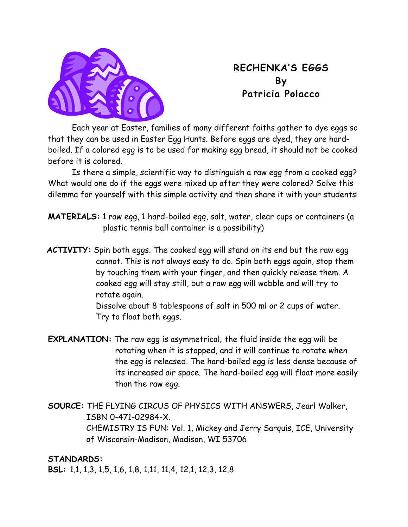

## **RECHENKA'S EGGS By Patricia Polacco**

Each year at Easter, families of many different faiths gather to dye eggs so that they can be used in Easter Egg Hunts. Before eggs are dyed, they are hardboiled. If a colored egg is to be used for making egg bread, it should not be cooked before it is colored.

Is there a simple, scientific way to distinguish a raw egg from a cooked egg? What would one do if the eggs were mixed up after they were colored? Solve this dilemma for yourself with this simple activity and then share it with your students!

**MATERIALS:** 1 raw egg, 1 hard-boiled egg, salt, water, clear cups or containers (a plastic tennis ball container is a possibility)

**ACTIVITY:** Spin both eggs. The cooked egg will stand on its end but the raw egg cannot. This is not always easy to do. Spin both eggs again, stop them by touching them with your finger, and then quickly release them. A cooked egg will stay still, but a raw egg will wobble and will try to rotate again.

> Dissolve about 8 tablespoons of salt in 500 ml or 2 cups of water. Try to float both eggs.

**EXPLANATION:** The raw egg is asymmetrical; the fluid inside the egg will be rotating when it is stopped, and it will continue to rotate when the egg is released. The hard-boiled egg is less dense because of its increased air space. The hard-boiled egg will float more easily than the raw egg.

**SOURCE:** THE FLYING CIRCUS OF PHYSICS WITH ANSWERS, Jearl Walker, ISBN 0-471-02984-X. CHEMISTRY IS FUN: Vol. 1, Mickey and Jerry Sarquis, ICE, University of Wisconsin-Madison, Madison, WI 53706.

## **STANDARDS:**

**BSL:** 1.1, 1.3, 1.5, 1.6, 1.8, 1.11, 11.4, 12.1, 12.3, 12.8